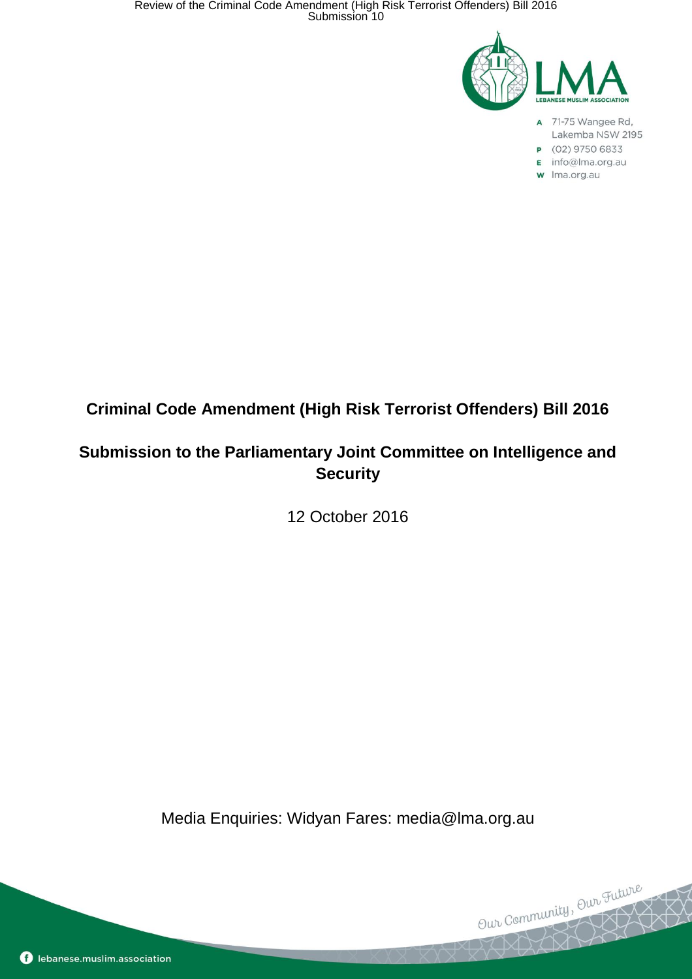

- A 71-75 Wangee Rd, Lakemba NSW 2195
- P (02) 9750 6833
- E info@lma.org.au
- w Ima.org.au

Our Community, Our Future

# **Criminal Code Amendment (High Risk Terrorist Offenders) Bill 2016**

## **Submission to the Parliamentary Joint Committee on Intelligence and Security**

12 October 2016

Media Enquiries: Widyan Fares: media@lma.org.au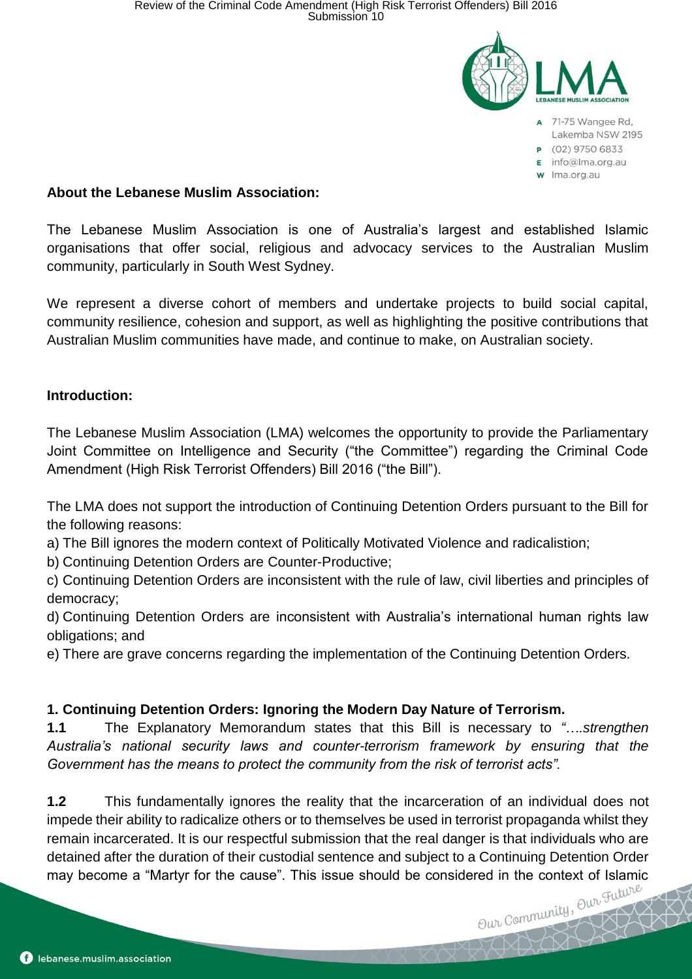

#### **About the Lebanese Muslim Association:**

The Lebanese Muslim Association is one of Australia's largest and established Islamic organisations that offer social, religious and advocacy services to the Australian Muslim community, particularly in South West Sydney.

We represent a diverse cohort of members and undertake projects to build social capital, community resilience, cohesion and support, as well as highlighting the positive contributions that Australian Muslim communities have made, and continue to make, on Australian society.

#### **Introduction:**

The Lebanese Muslim Association (LMA) welcomes the opportunity to provide the Parliamentary Joint Committee on Intelligence and Security ("the Committee") regarding the Criminal Code Amendment (High Risk Terrorist Offenders) Bill 2016 ("the Bill").

The LMA does not support the introduction of Continuing Detention Orders pursuant to the Bill for the following reasons:

a) The Bill ignores the modern context of Politically Motivated Violence and radicalistion;

b) Continuing Detention Orders are Counter-Productive;

c) Continuing Detention Orders are inconsistent with the rule of law, civil liberties and principles of democracy;

d) Continuing Detention Orders are inconsistent with Australia's international human rights law obligations; and

e) There are grave concerns regarding the implementation of the Continuing Detention Orders.

#### **1. Continuing Detention Orders: Ignoring the Modern Day Nature of Terrorism.**

**1.1** The Explanatory Memorandum states that this Bill is necessary to *"….strengthen Australia's national security laws and counter-terrorism framework by ensuring that the Government has the means to protect the community from the risk of terrorist acts".* 

**1.2** This fundamentally ignores the reality that the incarceration of an individual does not impede their ability to radicalize others or to themselves be used in terrorist propaganda whilst they remain incarcerated. It is our respectful submission that the real danger is that individuals who are detained after the duration of their custodial sentence and subject to a Continuing Detention Order may become a "Martyr for the cause". This issue should be considered in the context of Islamic  $\mathbb{R}^{\text{trivial}}$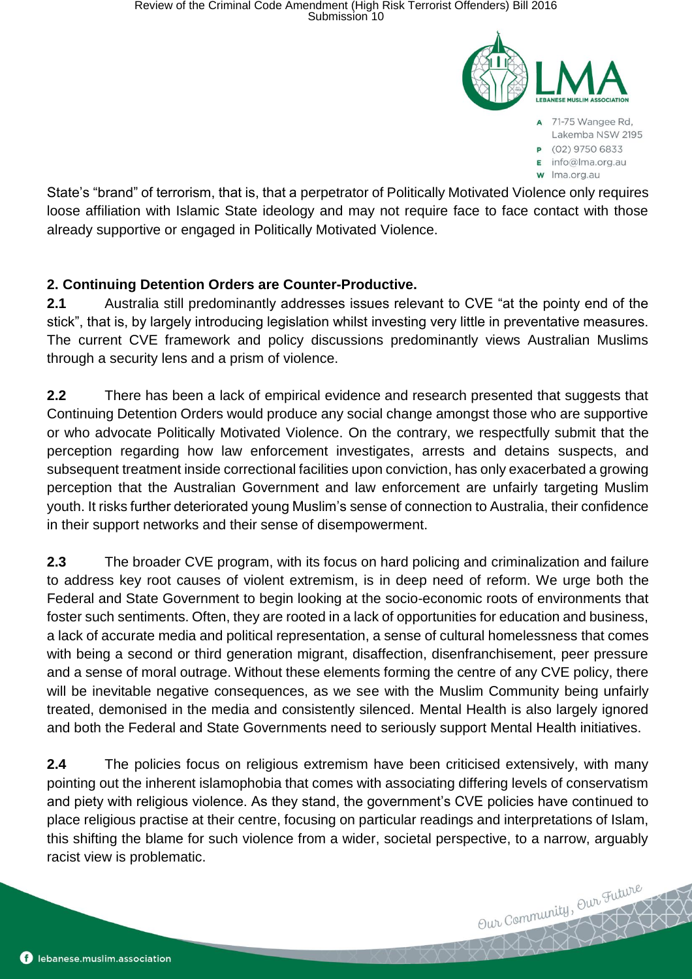

- 71-75 Wangee Rd. Lakemba NSW 2195
- P (02) 9750 6833
- E info@lma.org.au
- w Ima.org.au

Our Community, Our Future

State's "brand" of terrorism, that is, that a perpetrator of Politically Motivated Violence only requires loose affiliation with Islamic State ideology and may not require face to face contact with those already supportive or engaged in Politically Motivated Violence.

## **2. Continuing Detention Orders are Counter-Productive.**

**2.1** Australia still predominantly addresses issues relevant to CVE "at the pointy end of the stick", that is, by largely introducing legislation whilst investing very little in preventative measures. The current CVE framework and policy discussions predominantly views Australian Muslims through a security lens and a prism of violence.

**2.2** There has been a lack of empirical evidence and research presented that suggests that Continuing Detention Orders would produce any social change amongst those who are supportive or who advocate Politically Motivated Violence. On the contrary, we respectfully submit that the perception regarding how law enforcement investigates, arrests and detains suspects, and subsequent treatment inside correctional facilities upon conviction, has only exacerbated a growing perception that the Australian Government and law enforcement are unfairly targeting Muslim youth. It risks further deteriorated young Muslim's sense of connection to Australia, their confidence in their support networks and their sense of disempowerment.

**2.3** The broader CVE program, with its focus on hard policing and criminalization and failure to address key root causes of violent extremism, is in deep need of reform. We urge both the Federal and State Government to begin looking at the socio-economic roots of environments that foster such sentiments. Often, they are rooted in a lack of opportunities for education and business, a lack of accurate media and political representation, a sense of cultural homelessness that comes with being a second or third generation migrant, disaffection, disenfranchisement, peer pressure and a sense of moral outrage. Without these elements forming the centre of any CVE policy, there will be inevitable negative consequences, as we see with the Muslim Community being unfairly treated, demonised in the media and consistently silenced. Mental Health is also largely ignored and both the Federal and State Governments need to seriously support Mental Health initiatives.

**2.4** The policies focus on religious extremism have been criticised extensively, with many pointing out the inherent islamophobia that comes with associating differing levels of conservatism and piety with religious violence. As they stand, the government's CVE policies have continued to place religious practise at their centre, focusing on particular readings and interpretations of Islam, this shifting the blame for such violence from a wider, societal perspective, to a narrow, arguably racist view is problematic.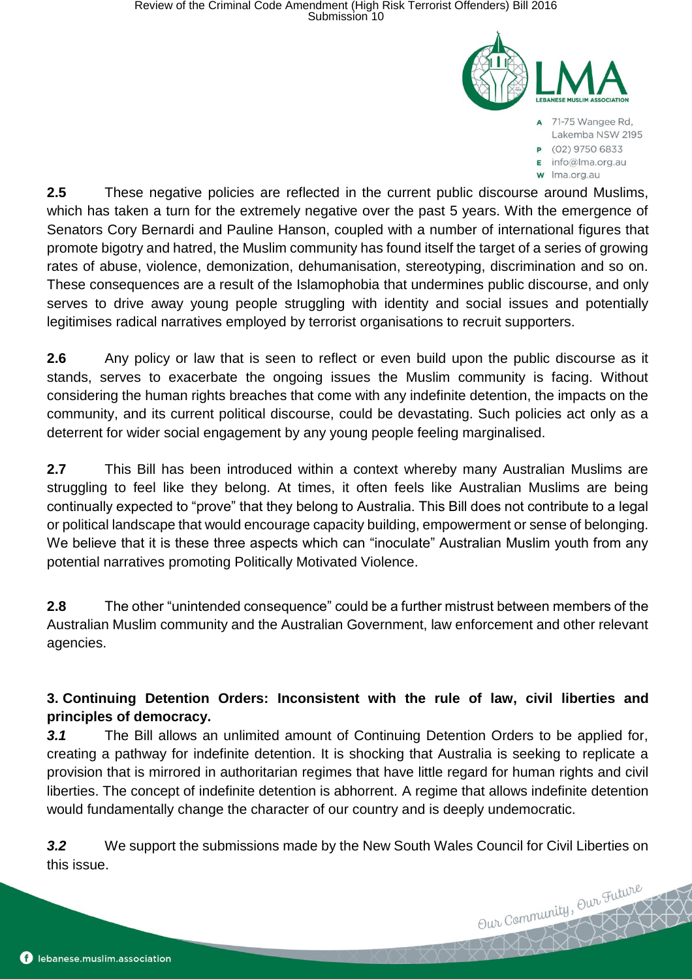

- A 71-75 Wangee Rd, Lakemba NSW 2195
- P (02) 9750 6833
- $\mathsf{E}$  info@lma.org.au
- w Ima.org.au

Our Community, Our Future

**2.5** These negative policies are reflected in the current public discourse around Muslims, which has taken a turn for the extremely negative over the past 5 years. With the emergence of Senators Cory Bernardi and Pauline Hanson, coupled with a number of international figures that promote bigotry and hatred, the Muslim community has found itself the target of a series of growing rates of abuse, violence, demonization, dehumanisation, stereotyping, discrimination and so on. These consequences are a result of the Islamophobia that undermines public discourse, and only serves to drive away young people struggling with identity and social issues and potentially legitimises radical narratives employed by terrorist organisations to recruit supporters.

**2.6** Any policy or law that is seen to reflect or even build upon the public discourse as it stands, serves to exacerbate the ongoing issues the Muslim community is facing. Without considering the human rights breaches that come with any indefinite detention, the impacts on the community, and its current political discourse, could be devastating. Such policies act only as a deterrent for wider social engagement by any young people feeling marginalised.

**2.7** This Bill has been introduced within a context whereby many Australian Muslims are struggling to feel like they belong. At times, it often feels like Australian Muslims are being continually expected to "prove" that they belong to Australia. This Bill does not contribute to a legal or political landscape that would encourage capacity building, empowerment or sense of belonging. We believe that it is these three aspects which can "inoculate" Australian Muslim youth from any potential narratives promoting Politically Motivated Violence.

**2.8** The other "unintended consequence" could be a further mistrust between members of the Australian Muslim community and the Australian Government, law enforcement and other relevant agencies.

**3. Continuing Detention Orders: Inconsistent with the rule of law, civil liberties and principles of democracy.**

*3.1* The Bill allows an unlimited amount of Continuing Detention Orders to be applied for, creating a pathway for indefinite detention. It is shocking that Australia is seeking to replicate a provision that is mirrored in authoritarian regimes that have little regard for human rights and civil liberties. The concept of indefinite detention is abhorrent. A regime that allows indefinite detention would fundamentally change the character of our country and is deeply undemocratic.

*3.2* We support the submissions made by the New South Wales Council for Civil Liberties on this issue.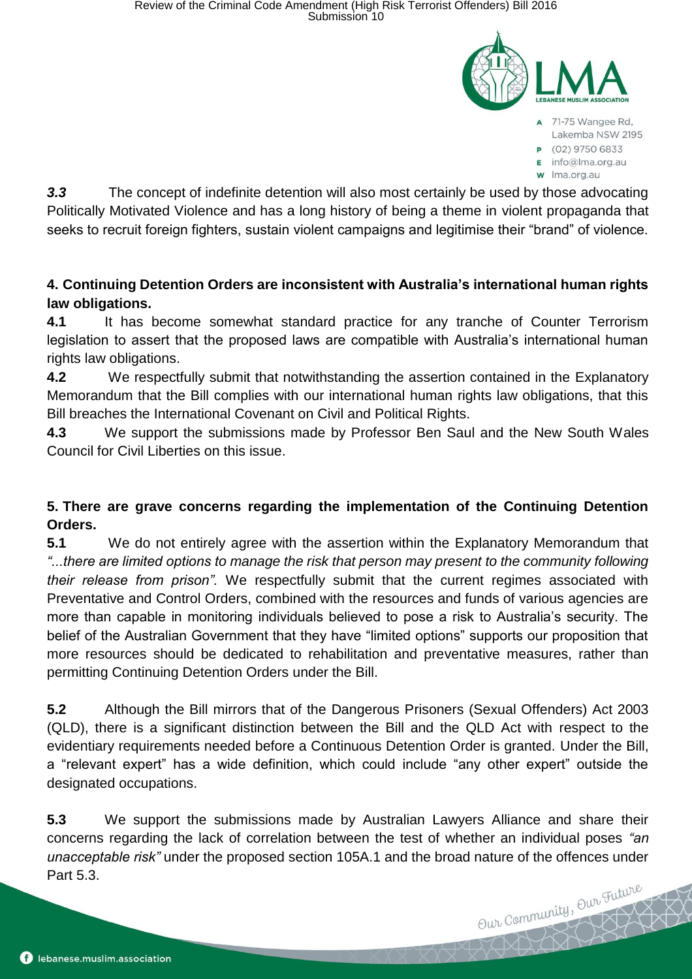

- A 71-75 Wangee Rd, Lakemba NSW 2195
- P (02) 9750 6833
- E info@lma.org.au
- w Ima.org.au

*3.3* The concept of indefinite detention will also most certainly be used by those advocating Politically Motivated Violence and has a long history of being a theme in violent propaganda that seeks to recruit foreign fighters, sustain violent campaigns and legitimise their "brand" of violence.

### **4. Continuing Detention Orders are inconsistent with Australia's international human rights law obligations.**

**4.1** It has become somewhat standard practice for any tranche of Counter Terrorism legislation to assert that the proposed laws are compatible with Australia's international human rights law obligations.

**4.2** We respectfully submit that notwithstanding the assertion contained in the Explanatory Memorandum that the Bill complies with our international human rights law obligations, that this Bill breaches the International Covenant on Civil and Political Rights.

**4.3** We support the submissions made by Professor Ben Saul and the New South Wales Council for Civil Liberties on this issue.

## **5. There are grave concerns regarding the implementation of the Continuing Detention Orders.**

**5.1** We do not entirely agree with the assertion within the Explanatory Memorandum that *"...there are limited options to manage the risk that person may present to the community following their release from prison".* We respectfully submit that the current regimes associated with Preventative and Control Orders, combined with the resources and funds of various agencies are more than capable in monitoring individuals believed to pose a risk to Australia's security. The belief of the Australian Government that they have "limited options" supports our proposition that more resources should be dedicated to rehabilitation and preventative measures, rather than permitting Continuing Detention Orders under the Bill.

**5.2** Although the Bill mirrors that of the Dangerous Prisoners (Sexual Offenders) Act 2003 (QLD), there is a significant distinction between the Bill and the QLD Act with respect to the evidentiary requirements needed before a Continuous Detention Order is granted. Under the Bill, a "relevant expert" has a wide definition, which could include "any other expert" outside the designated occupations.

**5.3** We support the submissions made by Australian Lawyers Alliance and share their concerns regarding the lack of correlation between the test of whether an individual poses *"an unacceptable risk"* under the proposed section 105A.1 and the broad nature of the offences under Part 5.3. Our Community, Our Future